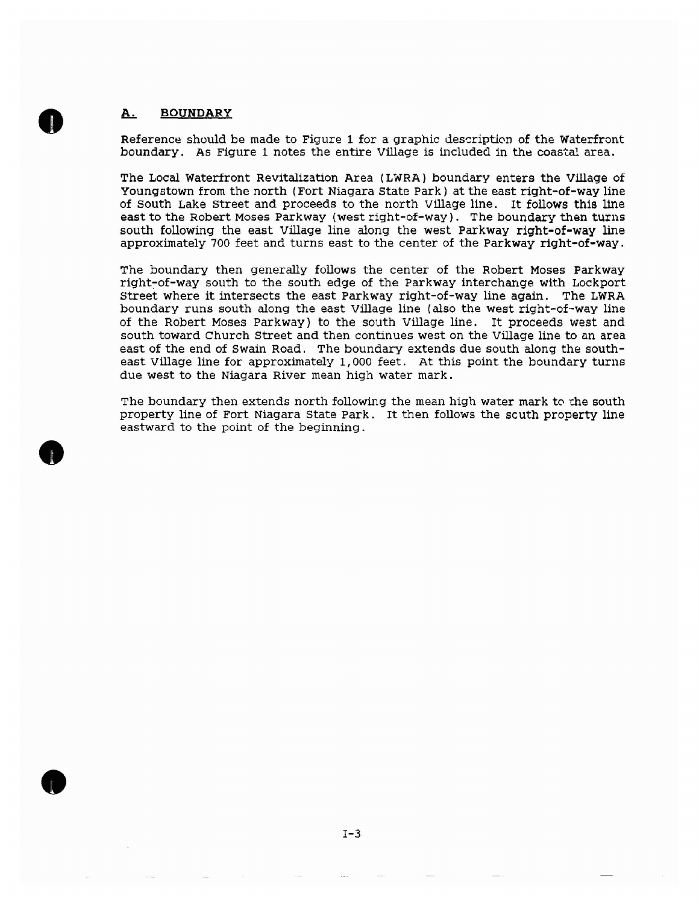## **BOUNpARY** <u>A.</u>

**0** 

**0** 

**e** 

Reference should be made to Figure 1 for a graphic description of the Waterfront boundary. As Figure 1 notes the entire Village is included in the coastal area.

The Local Waterfront Revitalization Area (LWRA) boundary enters the Village of Youngstown from the north (Fort Niagara state park) at the east right-of-way line of south Lake street and proceeds to the north Village line. It follows this line east to the Robert Moses parkway (west right-of-way). The boundary then turns south following the east Village line along the west Parkway **right-of-way** line approximately 700 feet and turns east to the center of the Parkway right-of-way.

The boundary then generally follows the center of the Robert Moses Parkway right-of-way south to the south edge of the Parkway interchange with Lockport street where it intersects the east Parkway right-of-way line again. The LWRA boundary runs south along the east Village line (also the west right-of-way line of the Robert Moses Parkway) to the south Village line. It proceeds west and south toward Church Street and then continues west on the Village line to an area east of the end of Swain Road. The boundary extends due south along the southeast Village line for approximately 1,000 feet. At this point the boundary turns due west to the Niagara River mean high water mark.

The boundary then extends north following the mean high water mark to the south property line of Fort Niagara state Park. It then follows the scuth property line eastward to the point of the beginning .